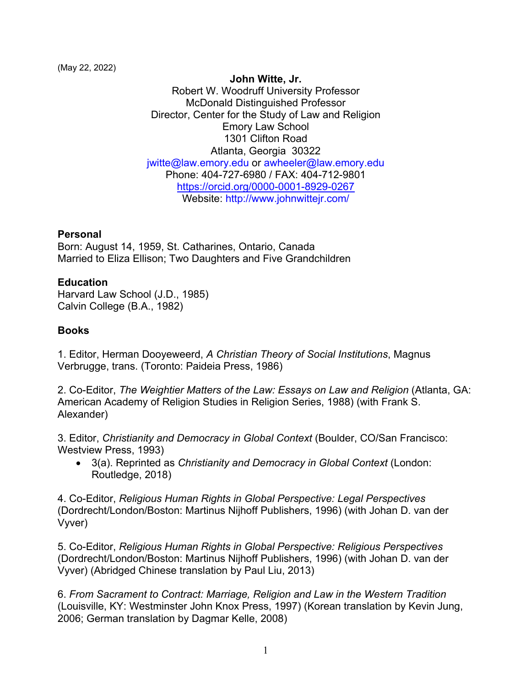(May 22, 2022)

#### **John Witte, Jr.**

Robert W. Woodruff University Professor McDonald Distinguished Professor Director, Center for the Study of Law and Religion Emory Law School 1301 Clifton Road Atlanta, Georgia 30322 jwitte@law.emory.edu or awheeler@law.emory.edu Phone: 404-727-6980 / FAX: 404-712-9801 https://orcid.org/0000-0001-8929-0267 Website: http://www.johnwittejr.com/

### **Personal**

Born: August 14, 1959, St. Catharines, Ontario, Canada Married to Eliza Ellison; Two Daughters and Five Grandchildren

### **Education**

Harvard Law School (J.D., 1985) Calvin College (B.A., 1982)

### **Books**

1. Editor, Herman Dooyeweerd, *A Christian Theory of Social Institutions*, Magnus Verbrugge, trans. (Toronto: Paideia Press, 1986)

2. Co-Editor, *The Weightier Matters of the Law: Essays on Law and Religion* (Atlanta, GA: American Academy of Religion Studies in Religion Series, 1988) (with Frank S. Alexander)

3. Editor, *Christianity and Democracy in Global Context* (Boulder, CO/San Francisco: Westview Press, 1993)

• 3(a). Reprinted as *Christianity and Democracy in Global Context* (London: Routledge, 2018)

4. Co-Editor, *Religious Human Rights in Global Perspective: Legal Perspectives* (Dordrecht/London/Boston: Martinus Nijhoff Publishers, 1996) (with Johan D. van der Vyver)

5. Co-Editor, *Religious Human Rights in Global Perspective: Religious Perspectives* (Dordrecht/London/Boston: Martinus Nijhoff Publishers, 1996) (with Johan D. van der Vyver) (Abridged Chinese translation by Paul Liu, 2013)

6. *From Sacrament to Contract: Marriage, Religion and Law in the Western Tradition* (Louisville, KY: Westminster John Knox Press, 1997) (Korean translation by Kevin Jung, 2006; German translation by Dagmar Kelle, 2008)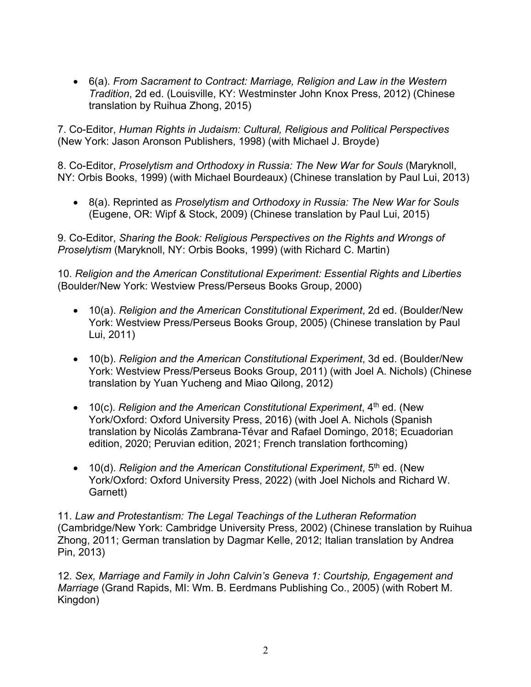• 6(a). *From Sacrament to Contract: Marriage, Religion and Law in the Western Tradition*, 2d ed. (Louisville, KY: Westminster John Knox Press, 2012) (Chinese translation by Ruihua Zhong, 2015)

7. Co-Editor, *Human Rights in Judaism: Cultural, Religious and Political Perspectives* (New York: Jason Aronson Publishers, 1998) (with Michael J. Broyde)

8. Co-Editor, *Proselytism and Orthodoxy in Russia: The New War for Souls* (Maryknoll, NY: Orbis Books, 1999) (with Michael Bourdeaux) (Chinese translation by Paul Lui, 2013)

• 8(a). Reprinted as *Proselytism and Orthodoxy in Russia: The New War for Souls* (Eugene, OR: Wipf & Stock, 2009) (Chinese translation by Paul Lui, 2015)

9. Co-Editor, *Sharing the Book: Religious Perspectives on the Rights and Wrongs of Proselytism* (Maryknoll, NY: Orbis Books, 1999) (with Richard C. Martin)

10. *Religion and the American Constitutional Experiment: Essential Rights and Liberties* (Boulder/New York: Westview Press/Perseus Books Group, 2000)

- 10(a). *Religion and the American Constitutional Experiment*, 2d ed. (Boulder/New York: Westview Press/Perseus Books Group, 2005) (Chinese translation by Paul Lui, 2011)
- 10(b). *Religion and the American Constitutional Experiment*, 3d ed. (Boulder/New York: Westview Press/Perseus Books Group, 2011) (with Joel A. Nichols) (Chinese translation by Yuan Yucheng and Miao Qilong, 2012)
- 10(c). *Religion and the American Constitutional Experiment*, 4<sup>th</sup> ed. (New York/Oxford: Oxford University Press, 2016) (with Joel A. Nichols (Spanish translation by Nicolás Zambrana-Tévar and Rafael Domingo, 2018; Ecuadorian edition, 2020; Peruvian edition, 2021; French translation forthcoming)
- 10(d). *Religion and the American Constitutional Experiment*, 5<sup>th</sup> ed. (New York/Oxford: Oxford University Press, 2022) (with Joel Nichols and Richard W. Garnett)

11. *Law and Protestantism: The Legal Teachings of the Lutheran Reformation* (Cambridge/New York: Cambridge University Press, 2002) (Chinese translation by Ruihua Zhong, 2011; German translation by Dagmar Kelle, 2012; Italian translation by Andrea Pin, 2013)

12. *Sex, Marriage and Family in John Calvin's Geneva 1: Courtship, Engagement and Marriage* (Grand Rapids, MI: Wm. B. Eerdmans Publishing Co., 2005) (with Robert M. Kingdon)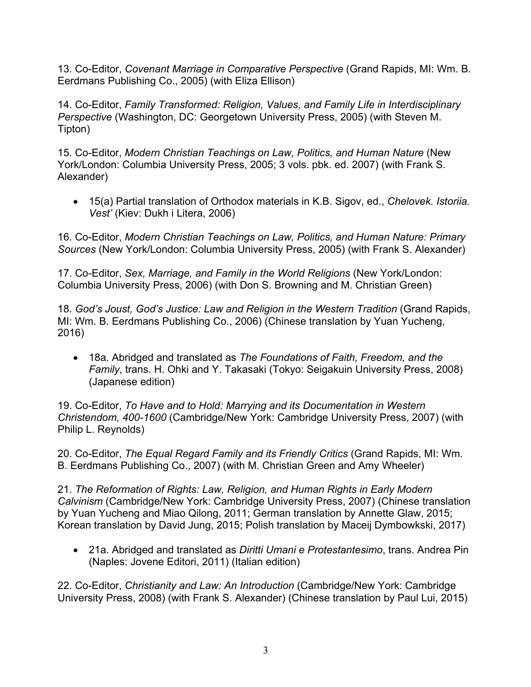13. Co-Editor, *Covenant Marriage in Comparative Perspective* (Grand Rapids, MI: Wm. B. Eerdmans Publishing Co., 2005) (with Eliza Ellison)

14. Co-Editor, *Family Transformed: Religion, Values, and Family Life in Interdisciplinary Perspective* (Washington, DC: Georgetown University Press, 2005) (with Steven M. Tipton)

15. Co-Editor, *Modern Christian Teachings on Law, Politics, and Human Nature* (New York/London: Columbia University Press, 2005; 3 vols. pbk. ed. 2007) (with Frank S. Alexander)

• 15(a) Partial translation of Orthodox materials in K.B. Sigov, ed., *Chelovek. Istoriia. Vest'* (Kiev: Dukh i Litera, 2006)

16. Co-Editor, *Modern Christian Teachings on Law, Politics, and Human Nature: Primary Sources* (New York/London: Columbia University Press, 2005) (with Frank S. Alexander)

17. Co-Editor, *Sex, Marriage, and Family in the World Religions* (New York/London: Columbia University Press, 2006) (with Don S. Browning and M. Christian Green)

18. *God's Joust, God's Justice: Law and Religion in the Western Tradition* (Grand Rapids, MI: Wm. B. Eerdmans Publishing Co., 2006) (Chinese translation by Yuan Yucheng, 2016)

• 18a. Abridged and translated as *The Foundations of Faith, Freedom, and the Family*, trans. H. Ohki and Y. Takasaki (Tokyo: Seigakuin University Press, 2008) (Japanese edition)

19. Co-Editor, *To Have and to Hold: Marrying and its Documentation in Western Christendom, 400-1600* (Cambridge/New York: Cambridge University Press, 2007) (with Philip L. Reynolds)

20. Co-Editor, *The Equal Regard Family and its Friendly Critics* (Grand Rapids, MI: Wm. B. Eerdmans Publishing Co., 2007) (with M. Christian Green and Amy Wheeler)

21. *The Reformation of Rights: Law, Religion, and Human Rights in Early Modern Calvinism* (Cambridge/New York: Cambridge University Press, 2007) (Chinese translation by Yuan Yucheng and Miao Qilong, 2011; German translation by Annette Glaw, 2015; Korean translation by David Jung, 2015; Polish translation by Maceij Dymbowkski, 2017)

• 21a. Abridged and translated as *Diritti Umani e Protestantesimo*, trans. Andrea Pin (Naples: Jovene Editori, 2011) (Italian edition)

22. Co-Editor, *Christianity and Law: An Introduction* (Cambridge/New York: Cambridge University Press, 2008) (with Frank S. Alexander) (Chinese translation by Paul Lui, 2015)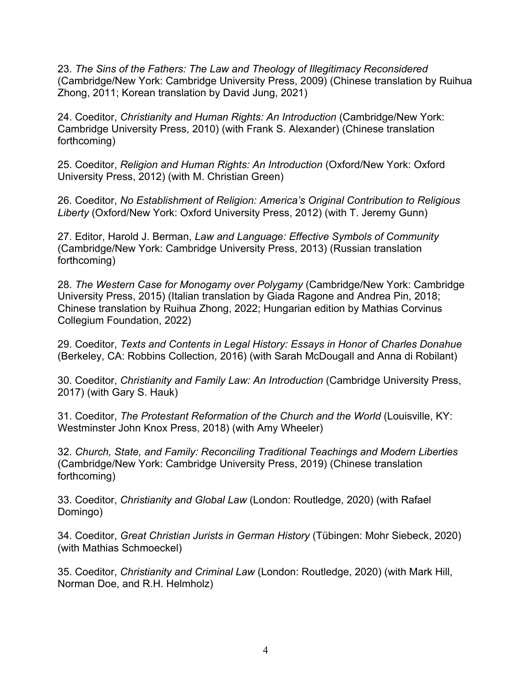23. *The Sins of the Fathers: The Law and Theology of Illegitimacy Reconsidered* (Cambridge/New York: Cambridge University Press, 2009) (Chinese translation by Ruihua Zhong, 2011; Korean translation by David Jung, 2021)

24. Coeditor, *Christianity and Human Rights: An Introduction* (Cambridge/New York: Cambridge University Press, 2010) (with Frank S. Alexander) (Chinese translation forthcoming)

25. Coeditor, *Religion and Human Rights: An Introduction* (Oxford/New York: Oxford University Press, 2012) (with M. Christian Green)

26. Coeditor, *No Establishment of Religion: America's Original Contribution to Religious Liberty* (Oxford/New York: Oxford University Press, 2012) (with T. Jeremy Gunn)

27. Editor, Harold J. Berman, *Law and Language: Effective Symbols of Community* (Cambridge/New York: Cambridge University Press, 2013) (Russian translation forthcoming)

28. *The Western Case for Monogamy over Polygamy* (Cambridge/New York: Cambridge University Press, 2015) (Italian translation by Giada Ragone and Andrea Pin, 2018; Chinese translation by Ruihua Zhong, 2022; Hungarian edition by Mathias Corvinus Collegium Foundation, 2022)

29. Coeditor, *Texts and Contents in Legal History: Essays in Honor of Charles Donahue* (Berkeley, CA: Robbins Collection, 2016) (with Sarah McDougall and Anna di Robilant)

30. Coeditor, *Christianity and Family Law: An Introduction* (Cambridge University Press, 2017) (with Gary S. Hauk)

31. Coeditor, *The Protestant Reformation of the Church and the World* (Louisville, KY: Westminster John Knox Press, 2018) (with Amy Wheeler)

32. *Church, State, and Family: Reconciling Traditional Teachings and Modern Liberties* (Cambridge/New York: Cambridge University Press, 2019) (Chinese translation forthcoming)

33. Coeditor, *Christianity and Global Law* (London: Routledge, 2020) (with Rafael Domingo)

34. Coeditor, *Great Christian Jurists in German History* (Tübingen: Mohr Siebeck, 2020) (with Mathias Schmoeckel)

35. Coeditor, *Christianity and Criminal Law* (London: Routledge, 2020) (with Mark Hill, Norman Doe, and R.H. Helmholz)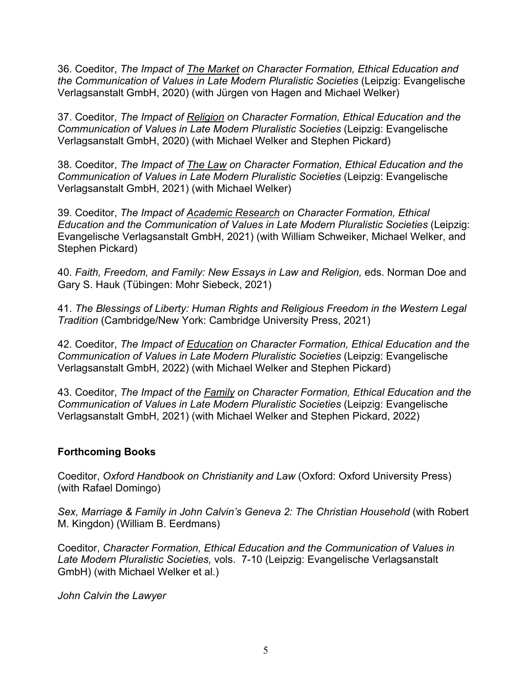36. Coeditor, *The Impact of The Market on Character Formation, Ethical Education and the Communication of Values in Late Modern Pluralistic Societies* (Leipzig: Evangelische Verlagsanstalt GmbH, 2020) (with Jürgen von Hagen and Michael Welker)

37. Coeditor, *The Impact of Religion on Character Formation, Ethical Education and the Communication of Values in Late Modern Pluralistic Societies* (Leipzig: Evangelische Verlagsanstalt GmbH, 2020) (with Michael Welker and Stephen Pickard)

38. Coeditor, *The Impact of The Law on Character Formation, Ethical Education and the Communication of Values in Late Modern Pluralistic Societies* (Leipzig: Evangelische Verlagsanstalt GmbH, 2021) (with Michael Welker)

39. Coeditor, *The Impact of Academic Research on Character Formation, Ethical Education and the Communication of Values in Late Modern Pluralistic Societies* (Leipzig: Evangelische Verlagsanstalt GmbH, 2021) (with William Schweiker, Michael Welker, and Stephen Pickard)

40. *Faith, Freedom, and Family: New Essays in Law and Religion,* eds. Norman Doe and Gary S. Hauk (Tübingen: Mohr Siebeck, 2021)

41. *The Blessings of Liberty: Human Rights and Religious Freedom in the Western Legal Tradition* (Cambridge/New York: Cambridge University Press, 2021)

42. Coeditor, *The Impact of Education on Character Formation, Ethical Education and the Communication of Values in Late Modern Pluralistic Societies* (Leipzig: Evangelische Verlagsanstalt GmbH, 2022) (with Michael Welker and Stephen Pickard)

43. Coeditor, *The Impact of the Family on Character Formation, Ethical Education and the Communication of Values in Late Modern Pluralistic Societies* (Leipzig: Evangelische Verlagsanstalt GmbH, 2021) (with Michael Welker and Stephen Pickard, 2022)

### **Forthcoming Books**

Coeditor, *Oxford Handbook on Christianity and Law* (Oxford: Oxford University Press) (with Rafael Domingo)

*Sex, Marriage & Family in John Calvin's Geneva 2: The Christian Household* (with Robert M. Kingdon) (William B. Eerdmans)

Coeditor, *Character Formation, Ethical Education and the Communication of Values in Late Modern Pluralistic Societies,* vols. 7-10 (Leipzig: Evangelische Verlagsanstalt GmbH) (with Michael Welker et al.)

*John Calvin the Lawyer*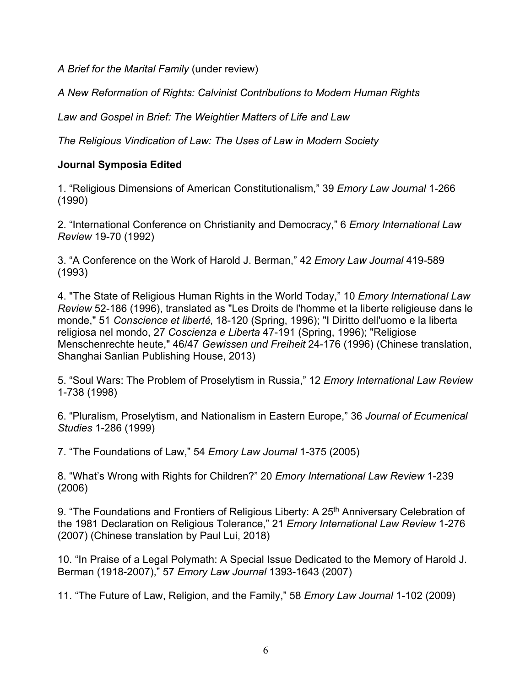*A Brief for the Marital Family* (under review)

*A New Reformation of Rights: Calvinist Contributions to Modern Human Rights*

*Law and Gospel in Brief: The Weightier Matters of Life and Law*

*The Religious Vindication of Law: The Uses of Law in Modern Society*

# **Journal Symposia Edited**

1. "Religious Dimensions of American Constitutionalism," 39 *Emory Law Journal* 1-266 (1990)

2. "International Conference on Christianity and Democracy," 6 *Emory International Law Review* 19-70 (1992)

3. "A Conference on the Work of Harold J. Berman," 42 *Emory Law Journal* 419-589 (1993)

4. "The State of Religious Human Rights in the World Today," 10 *Emory International Law Review* 52-186 (1996), translated as "Les Droits de l'homme et la liberte religieuse dans le monde," 51 Conscience et liberté, 18-120 (Spring, 1996); "I Diritto dell'uomo e la liberta religiosa nel mondo, 27 *Coscienza e Liberta* 47-191 (Spring, 1996); "Religiose Menschenrechte heute," 46/47 *Gewissen und Freiheit* 24-176 (1996) (Chinese translation, Shanghai Sanlian Publishing House, 2013)

5. "Soul Wars: The Problem of Proselytism in Russia," 12 *Emory International Law Review* 1-738 (1998)

6. "Pluralism, Proselytism, and Nationalism in Eastern Europe," 36 *Journal of Ecumenical Studies* 1-286 (1999)

7. "The Foundations of Law," 54 *Emory Law Journal* 1-375 (2005)

8. "What's Wrong with Rights for Children?" 20 *Emory International Law Review* 1-239 (2006)

9. "The Foundations and Frontiers of Religious Liberty: A 25<sup>th</sup> Anniversary Celebration of the 1981 Declaration on Religious Tolerance," 21 *Emory International Law Review* 1-276 (2007) (Chinese translation by Paul Lui, 2018)

10. "In Praise of a Legal Polymath: A Special Issue Dedicated to the Memory of Harold J. Berman (1918-2007)," 57 *Emory Law Journal* 1393-1643 (2007)

11. "The Future of Law, Religion, and the Family," 58 *Emory Law Journal* 1-102 (2009)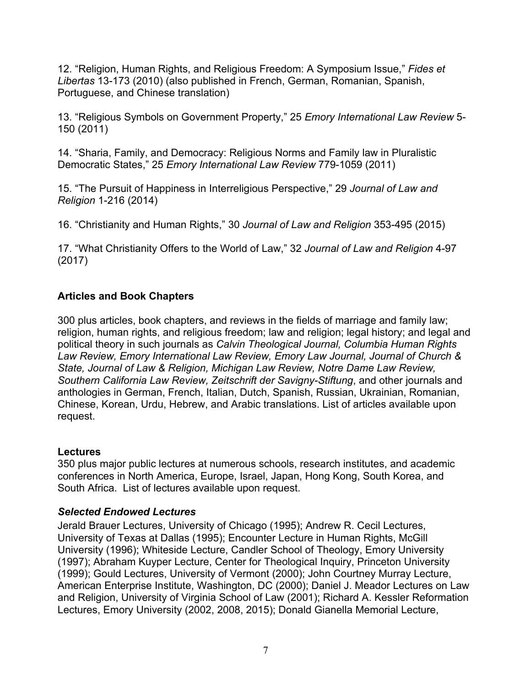12. "Religion, Human Rights, and Religious Freedom: A Symposium Issue," *Fides et Libertas* 13-173 (2010) (also published in French, German, Romanian, Spanish, Portuguese, and Chinese translation)

13. "Religious Symbols on Government Property," 25 *Emory International Law Review* 5- 150 (2011)

14. "Sharia, Family, and Democracy: Religious Norms and Family law in Pluralistic Democratic States," 25 *Emory International Law Review* 779-1059 (2011)

15. "The Pursuit of Happiness in Interreligious Perspective," 29 *Journal of Law and Religion* 1-216 (2014)

16. "Christianity and Human Rights," 30 *Journal of Law and Religion* 353-495 (2015)

17. "What Christianity Offers to the World of Law," 32 *Journal of Law and Religion* 4-97 (2017)

# **Articles and Book Chapters**

300 plus articles, book chapters, and reviews in the fields of marriage and family law; religion, human rights, and religious freedom; law and religion; legal history; and legal and political theory in such journals as *Calvin Theological Journal, Columbia Human Rights Law Review, Emory International Law Review, Emory Law Journal, Journal of Church & State, Journal of Law & Religion, Michigan Law Review, Notre Dame Law Review, Southern California Law Review, Zeitschrift der Savigny-Stiftung*, and other journals and anthologies in German, French, Italian, Dutch, Spanish, Russian, Ukrainian, Romanian, Chinese, Korean, Urdu, Hebrew, and Arabic translations. List of articles available upon request.

### **Lectures**

350 plus major public lectures at numerous schools, research institutes, and academic conferences in North America, Europe, Israel, Japan, Hong Kong, South Korea, and South Africa. List of lectures available upon request.

# *Selected Endowed Lectures*

Jerald Brauer Lectures, University of Chicago (1995); Andrew R. Cecil Lectures, University of Texas at Dallas (1995); Encounter Lecture in Human Rights, McGill University (1996); Whiteside Lecture, Candler School of Theology, Emory University (1997); Abraham Kuyper Lecture, Center for Theological Inquiry, Princeton University (1999); Gould Lectures, University of Vermont (2000); John Courtney Murray Lecture, American Enterprise Institute, Washington, DC (2000); Daniel J. Meador Lectures on Law and Religion, University of Virginia School of Law (2001); Richard A. Kessler Reformation Lectures, Emory University (2002, 2008, 2015); Donald Gianella Memorial Lecture,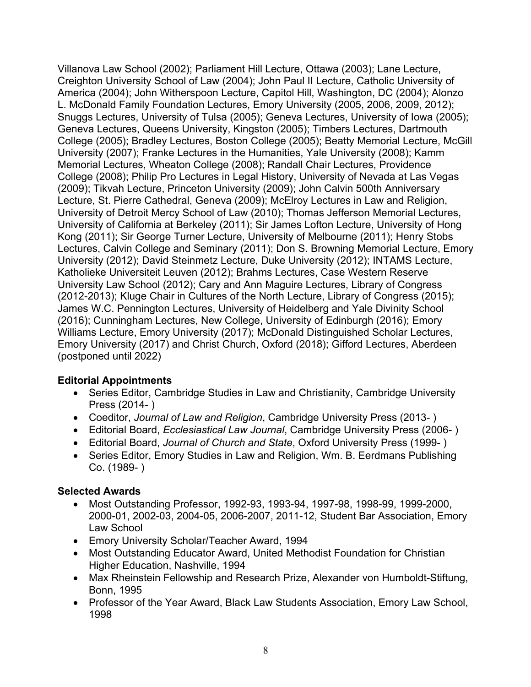Villanova Law School (2002); Parliament Hill Lecture, Ottawa (2003); Lane Lecture, Creighton University School of Law (2004); John Paul II Lecture, Catholic University of America (2004); John Witherspoon Lecture, Capitol Hill, Washington, DC (2004); Alonzo L. McDonald Family Foundation Lectures, Emory University (2005, 2006, 2009, 2012); Snuggs Lectures, University of Tulsa (2005); Geneva Lectures, University of Iowa (2005); Geneva Lectures, Queens University, Kingston (2005); Timbers Lectures, Dartmouth College (2005); Bradley Lectures, Boston College (2005); Beatty Memorial Lecture, McGill University (2007); Franke Lectures in the Humanities, Yale University (2008); Kamm Memorial Lectures, Wheaton College (2008); Randall Chair Lectures, Providence College (2008); Philip Pro Lectures in Legal History, University of Nevada at Las Vegas (2009); Tikvah Lecture, Princeton University (2009); John Calvin 500th Anniversary Lecture, St. Pierre Cathedral, Geneva (2009); McElroy Lectures in Law and Religion, University of Detroit Mercy School of Law (2010); Thomas Jefferson Memorial Lectures, University of California at Berkeley (2011); Sir James Lofton Lecture, University of Hong Kong (2011); Sir George Turner Lecture, University of Melbourne (2011); Henry Stobs Lectures, Calvin College and Seminary (2011); Don S. Browning Memorial Lecture, Emory University (2012); David Steinmetz Lecture, Duke University (2012); INTAMS Lecture, Katholieke Universiteit Leuven (2012); Brahms Lectures, Case Western Reserve University Law School (2012); Cary and Ann Maguire Lectures, Library of Congress (2012-2013); Kluge Chair in Cultures of the North Lecture, Library of Congress (2015); James W.C. Pennington Lectures, University of Heidelberg and Yale Divinity School (2016); Cunningham Lectures, New College, University of Edinburgh (2016); Emory Williams Lecture, Emory University (2017); McDonald Distinguished Scholar Lectures, Emory University (2017) and Christ Church, Oxford (2018); Gifford Lectures, Aberdeen (postponed until 2022)

### **Editorial Appointments**

- Series Editor, Cambridge Studies in Law and Christianity, Cambridge University Press (2014- )
- Coeditor, *Journal of Law and Religion*, Cambridge University Press (2013- )
- Editorial Board, *Ecclesiastical Law Journal*, Cambridge University Press (2006- )
- Editorial Board, *Journal of Church and State*, Oxford University Press (1999- )
- Series Editor, Emory Studies in Law and Religion, Wm. B. Eerdmans Publishing Co. (1989- )

### **Selected Awards**

- Most Outstanding Professor, 1992-93, 1993-94, 1997-98, 1998-99, 1999-2000, 2000-01, 2002-03, 2004-05, 2006-2007, 2011-12, Student Bar Association, Emory Law School
- Emory University Scholar/Teacher Award, 1994
- Most Outstanding Educator Award, United Methodist Foundation for Christian Higher Education, Nashville, 1994
- Max Rheinstein Fellowship and Research Prize, Alexander von Humboldt-Stiftung, Bonn, 1995
- Professor of the Year Award, Black Law Students Association, Emory Law School, 1998